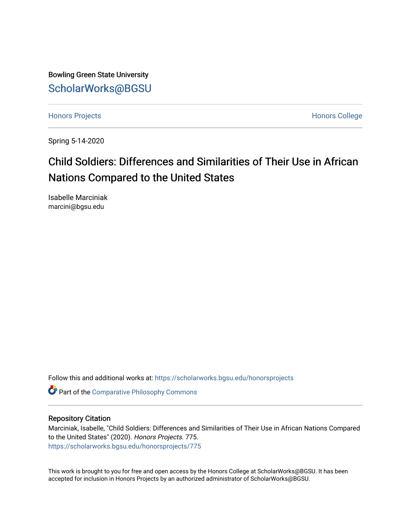Bowling Green State University [ScholarWorks@BGSU](https://scholarworks.bgsu.edu/) 

[Honors Projects](https://scholarworks.bgsu.edu/honorsprojects) **Honors** College

Spring 5-14-2020

## Child Soldiers: Differences and Similarities of Their Use in African Nations Compared to the United States

Isabelle Marciniak marcini@bgsu.edu

Follow this and additional works at: [https://scholarworks.bgsu.edu/honorsprojects](https://scholarworks.bgsu.edu/honorsprojects?utm_source=scholarworks.bgsu.edu%2Fhonorsprojects%2F775&utm_medium=PDF&utm_campaign=PDFCoverPages) 

Part of the [Comparative Philosophy Commons](http://network.bepress.com/hgg/discipline/1343?utm_source=scholarworks.bgsu.edu%2Fhonorsprojects%2F775&utm_medium=PDF&utm_campaign=PDFCoverPages) 

## Repository Citation

Marciniak, Isabelle, "Child Soldiers: Differences and Similarities of Their Use in African Nations Compared to the United States" (2020). Honors Projects. 775. [https://scholarworks.bgsu.edu/honorsprojects/775](https://scholarworks.bgsu.edu/honorsprojects/775?utm_source=scholarworks.bgsu.edu%2Fhonorsprojects%2F775&utm_medium=PDF&utm_campaign=PDFCoverPages) 

This work is brought to you for free and open access by the Honors College at ScholarWorks@BGSU. It has been accepted for inclusion in Honors Projects by an authorized administrator of ScholarWorks@BGSU.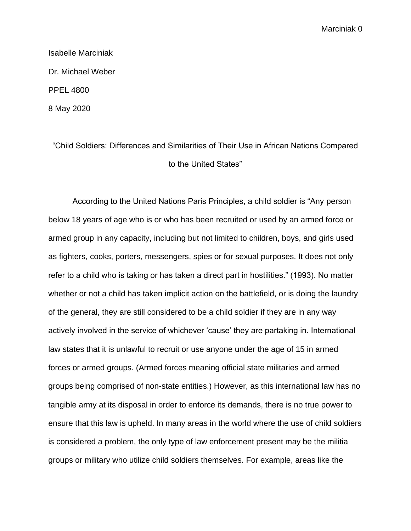Isabelle Marciniak Dr. Michael Weber PPEL 4800 8 May 2020

"Child Soldiers: Differences and Similarities of Their Use in African Nations Compared to the United States"

According to the United Nations Paris Principles, a child soldier is "Any person below 18 years of age who is or who has been recruited or used by an armed force or armed group in any capacity, including but not limited to children, boys, and girls used as fighters, cooks, porters, messengers, spies or for sexual purposes. It does not only refer to a child who is taking or has taken a direct part in hostilities." (1993). No matter whether or not a child has taken implicit action on the battlefield, or is doing the laundry of the general, they are still considered to be a child soldier if they are in any way actively involved in the service of whichever 'cause' they are partaking in. International law states that it is unlawful to recruit or use anyone under the age of 15 in armed forces or armed groups. (Armed forces meaning official state militaries and armed groups being comprised of non-state entities.) However, as this international law has no tangible army at its disposal in order to enforce its demands, there is no true power to ensure that this law is upheld. In many areas in the world where the use of child soldiers is considered a problem, the only type of law enforcement present may be the militia groups or military who utilize child soldiers themselves. For example, areas like the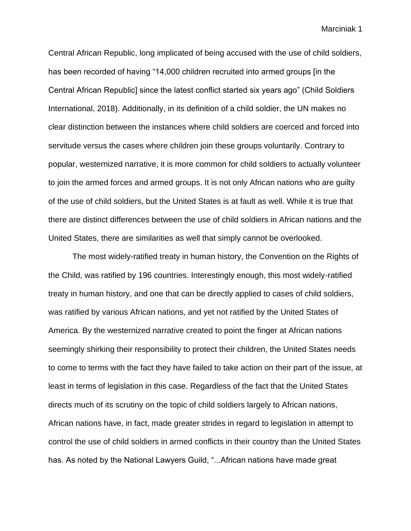Central African Republic, long implicated of being accused with the use of child soldiers, has been recorded of having "14,000 children recruited into armed groups [in the Central African Republic] since the latest conflict started six years ago" (Child Soldiers International, 2018). Additionally, in its definition of a child soldier, the UN makes no clear distinction between the instances where child soldiers are coerced and forced into servitude versus the cases where children join these groups voluntarily. Contrary to popular, westernized narrative, it is more common for child soldiers to actually volunteer to join the armed forces and armed groups. It is not only African nations who are guilty of the use of child soldiers, but the United States is at fault as well. While it is true that there are distinct differences between the use of child soldiers in African nations and the United States, there are similarities as well that simply cannot be overlooked.

The most widely-ratified treaty in human history, the Convention on the Rights of the Child, was ratified by 196 countries. Interestingly enough, this most widely-ratified treaty in human history, and one that can be directly applied to cases of child soldiers, was ratified by various African nations, and yet not ratified by the United States of America. By the westernized narrative created to point the finger at African nations seemingly shirking their responsibility to protect their children, the United States needs to come to terms with the fact they have failed to take action on their part of the issue, at least in terms of legislation in this case. Regardless of the fact that the United States directs much of its scrutiny on the topic of child soldiers largely to African nations, African nations have, in fact, made greater strides in regard to legislation in attempt to control the use of child soldiers in armed conflicts in their country than the United States has. As noted by the National Lawyers Guild, "...African nations have made great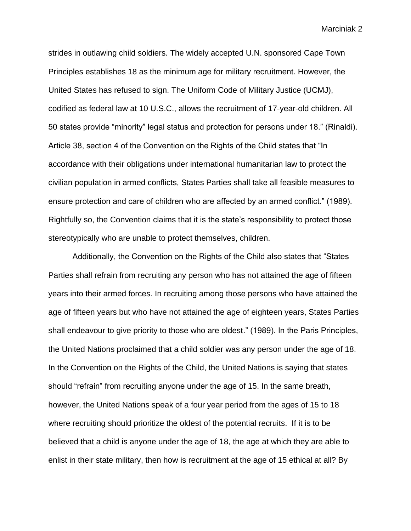strides in outlawing child soldiers. The widely accepted U.N. sponsored Cape Town Principles establishes 18 as the minimum age for military recruitment. However, the United States has refused to sign. The Uniform Code of Military Justice (UCMJ), codified as federal law at 10 U.S.C., allows the recruitment of 17-year-old children. All 50 states provide "minority" legal status and protection for persons under 18." (Rinaldi). Article 38, section 4 of the Convention on the Rights of the Child states that "In accordance with their obligations under international humanitarian law to protect the civilian population in armed conflicts, States Parties shall take all feasible measures to ensure protection and care of children who are affected by an armed conflict." (1989). Rightfully so, the Convention claims that it is the state's responsibility to protect those stereotypically who are unable to protect themselves, children.

Additionally, the Convention on the Rights of the Child also states that "States Parties shall refrain from recruiting any person who has not attained the age of fifteen years into their armed forces. In recruiting among those persons who have attained the age of fifteen years but who have not attained the age of eighteen years, States Parties shall endeavour to give priority to those who are oldest." (1989). In the Paris Principles, the United Nations proclaimed that a child soldier was any person under the age of 18. In the Convention on the Rights of the Child, the United Nations is saying that states should "refrain" from recruiting anyone under the age of 15. In the same breath, however, the United Nations speak of a four year period from the ages of 15 to 18 where recruiting should prioritize the oldest of the potential recruits. If it is to be believed that a child is anyone under the age of 18, the age at which they are able to enlist in their state military, then how is recruitment at the age of 15 ethical at all? By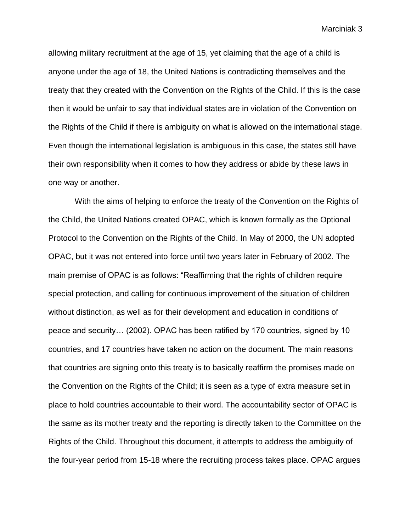allowing military recruitment at the age of 15, yet claiming that the age of a child is anyone under the age of 18, the United Nations is contradicting themselves and the treaty that they created with the Convention on the Rights of the Child. If this is the case then it would be unfair to say that individual states are in violation of the Convention on the Rights of the Child if there is ambiguity on what is allowed on the international stage. Even though the international legislation is ambiguous in this case, the states still have their own responsibility when it comes to how they address or abide by these laws in one way or another.

With the aims of helping to enforce the treaty of the Convention on the Rights of the Child, the United Nations created OPAC, which is known formally as the Optional Protocol to the Convention on the Rights of the Child. In May of 2000, the UN adopted OPAC, but it was not entered into force until two years later in February of 2002. The main premise of OPAC is as follows: "Reaffirming that the rights of children require special protection, and calling for continuous improvement of the situation of children without distinction, as well as for their development and education in conditions of peace and security… (2002). OPAC has been ratified by 170 countries, signed by 10 countries, and 17 countries have taken no action on the document. The main reasons that countries are signing onto this treaty is to basically reaffirm the promises made on the Convention on the Rights of the Child; it is seen as a type of extra measure set in place to hold countries accountable to their word. The accountability sector of OPAC is the same as its mother treaty and the reporting is directly taken to the Committee on the Rights of the Child. Throughout this document, it attempts to address the ambiguity of the four-year period from 15-18 where the recruiting process takes place. OPAC argues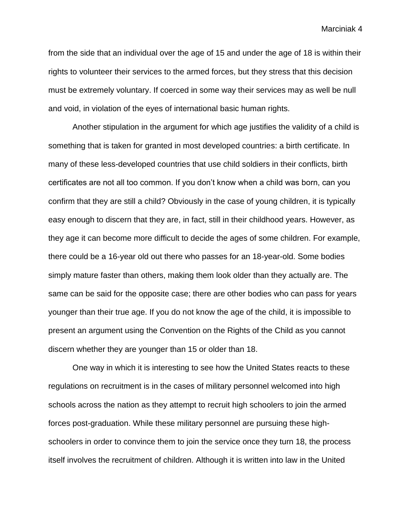from the side that an individual over the age of 15 and under the age of 18 is within their rights to volunteer their services to the armed forces, but they stress that this decision must be extremely voluntary. If coerced in some way their services may as well be null and void, in violation of the eyes of international basic human rights.

Another stipulation in the argument for which age justifies the validity of a child is something that is taken for granted in most developed countries: a birth certificate. In many of these less-developed countries that use child soldiers in their conflicts, birth certificates are not all too common. If you don't know when a child was born, can you confirm that they are still a child? Obviously in the case of young children, it is typically easy enough to discern that they are, in fact, still in their childhood years. However, as they age it can become more difficult to decide the ages of some children. For example, there could be a 16-year old out there who passes for an 18-year-old. Some bodies simply mature faster than others, making them look older than they actually are. The same can be said for the opposite case; there are other bodies who can pass for years younger than their true age. If you do not know the age of the child, it is impossible to present an argument using the Convention on the Rights of the Child as you cannot discern whether they are younger than 15 or older than 18.

One way in which it is interesting to see how the United States reacts to these regulations on recruitment is in the cases of military personnel welcomed into high schools across the nation as they attempt to recruit high schoolers to join the armed forces post-graduation. While these military personnel are pursuing these highschoolers in order to convince them to join the service once they turn 18, the process itself involves the recruitment of children. Although it is written into law in the United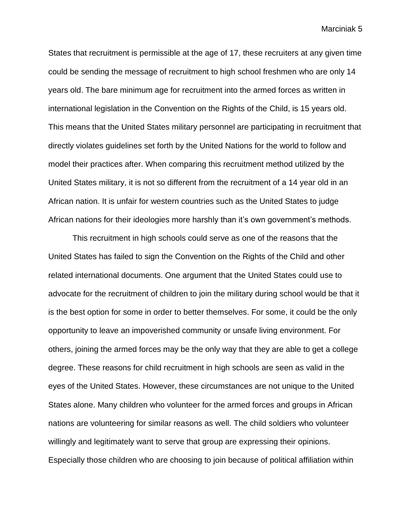States that recruitment is permissible at the age of 17, these recruiters at any given time could be sending the message of recruitment to high school freshmen who are only 14 years old. The bare minimum age for recruitment into the armed forces as written in international legislation in the Convention on the Rights of the Child, is 15 years old. This means that the United States military personnel are participating in recruitment that directly violates guidelines set forth by the United Nations for the world to follow and model their practices after. When comparing this recruitment method utilized by the United States military, it is not so different from the recruitment of a 14 year old in an African nation. It is unfair for western countries such as the United States to judge African nations for their ideologies more harshly than it's own government's methods.

This recruitment in high schools could serve as one of the reasons that the United States has failed to sign the Convention on the Rights of the Child and other related international documents. One argument that the United States could use to advocate for the recruitment of children to join the military during school would be that it is the best option for some in order to better themselves. For some, it could be the only opportunity to leave an impoverished community or unsafe living environment. For others, joining the armed forces may be the only way that they are able to get a college degree. These reasons for child recruitment in high schools are seen as valid in the eyes of the United States. However, these circumstances are not unique to the United States alone. Many children who volunteer for the armed forces and groups in African nations are volunteering for similar reasons as well. The child soldiers who volunteer willingly and legitimately want to serve that group are expressing their opinions. Especially those children who are choosing to join because of political affiliation within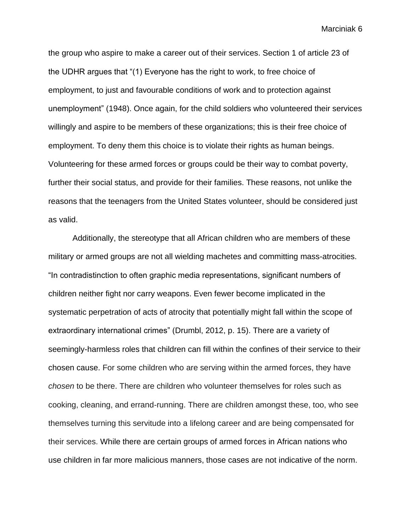the group who aspire to make a career out of their services. Section 1 of article 23 of the UDHR argues that "(1) Everyone has the right to work, to free choice of employment, to just and favourable conditions of work and to protection against unemployment" (1948). Once again, for the child soldiers who volunteered their services willingly and aspire to be members of these organizations; this is their free choice of employment. To deny them this choice is to violate their rights as human beings. Volunteering for these armed forces or groups could be their way to combat poverty, further their social status, and provide for their families. These reasons, not unlike the reasons that the teenagers from the United States volunteer, should be considered just as valid.

Additionally, the stereotype that all African children who are members of these military or armed groups are not all wielding machetes and committing mass-atrocities. "In contradistinction to often graphic media representations, significant numbers of children neither fight nor carry weapons. Even fewer become implicated in the systematic perpetration of acts of atrocity that potentially might fall within the scope of extraordinary international crimes" (Drumbl, 2012, p. 15). There are a variety of seemingly-harmless roles that children can fill within the confines of their service to their chosen cause. For some children who are serving within the armed forces, they have *chosen* to be there. There are children who volunteer themselves for roles such as cooking, cleaning, and errand-running. There are children amongst these, too, who see themselves turning this servitude into a lifelong career and are being compensated for their services. While there are certain groups of armed forces in African nations who use children in far more malicious manners, those cases are not indicative of the norm.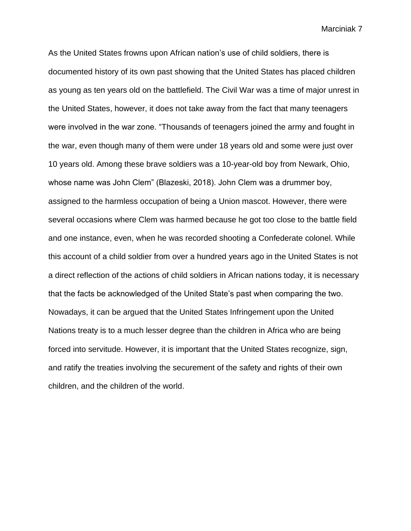As the United States frowns upon African nation's use of child soldiers, there is documented history of its own past showing that the United States has placed children as young as ten years old on the battlefield. The Civil War was a time of major unrest in the United States, however, it does not take away from the fact that many teenagers were involved in the war zone. "Thousands of teenagers joined the army and fought in the war, even though many of them were under 18 years old and some were just over 10 years old. Among these brave soldiers was a 10-year-old boy from Newark, Ohio, whose name was John Clem" (Blazeski, 2018). John Clem was a drummer boy, assigned to the harmless occupation of being a Union mascot. However, there were several occasions where Clem was harmed because he got too close to the battle field and one instance, even, when he was recorded shooting a Confederate colonel. While this account of a child soldier from over a hundred years ago in the United States is not a direct reflection of the actions of child soldiers in African nations today, it is necessary that the facts be acknowledged of the United State's past when comparing the two. Nowadays, it can be argued that the United States Infringement upon the United Nations treaty is to a much lesser degree than the children in Africa who are being forced into servitude. However, it is important that the United States recognize, sign, and ratify the treaties involving the securement of the safety and rights of their own children, and the children of the world.